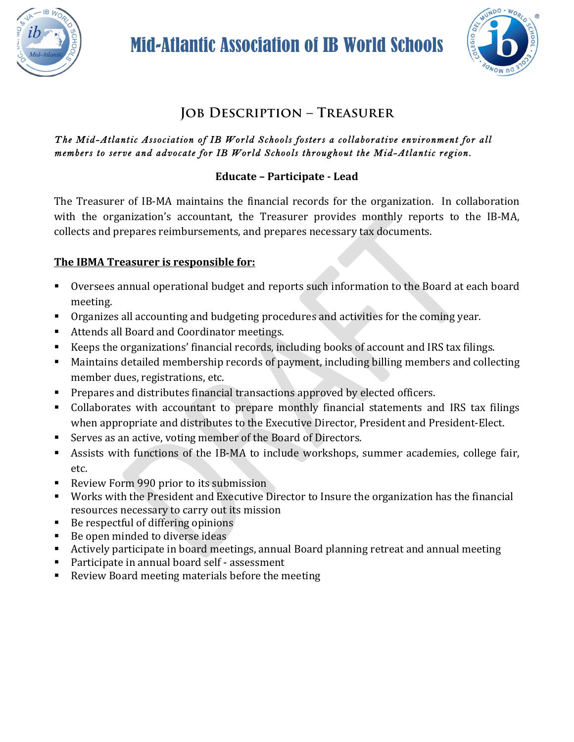

Mid-Atlantic Association of IB World Schools



# **Job Description – Treasurer**

#### *The Mid-Atlantic Association of IB World Schools fosters a collaborative environment for all members to serve and advocate for IB World Schools throughout the Mid-Atlantic region.*

### **Educate – Participate - Lead**

The Treasurer of IB-MA maintains the financial records for the organization. In collaboration with the organization's accountant, the Treasurer provides monthly reports to the IB-MA, collects and prepares reimbursements, and prepares necessary tax documents.

#### **The IBMA Treasurer is responsible for:**

- Oversees annual operational budget and reports such information to the Board at each board meeting.
- Organizes all accounting and budgeting procedures and activities for the coming year.
- Attends all Board and Coordinator meetings.
- Keeps the organizations' financial records, including books of account and IRS tax filings.
- Maintains detailed membership records of payment, including billing members and collecting member dues, registrations, etc.
- **•** Prepares and distributes financial transactions approved by elected officers.
- Collaborates with accountant to prepare monthly financial statements and IRS tax filings when appropriate and distributes to the Executive Director, President and President-Elect.
- Serves as an active, voting member of the Board of Directors.
- Assists with functions of the IB-MA to include workshops, summer academies, college fair, etc.
- Review Form 990 prior to its submission
- Works with the President and Executive Director to Insure the organization has the financial resources necessary to carry out its mission
- Be respectful of differing opinions
- Be open minded to diverse ideas
- Actively participate in board meetings, annual Board planning retreat and annual meeting
- Participate in annual board self assessment
- Review Board meeting materials before the meeting